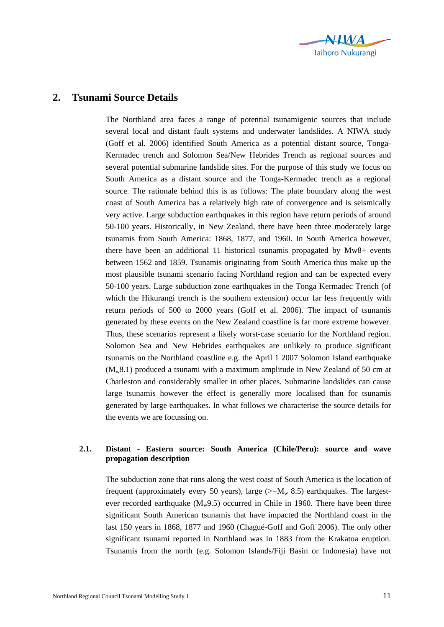

## **2. Tsunami Source Details**

The Northland area faces a range of potential tsunamigenic sources that include several local and distant fault systems and underwater landslides. A NIWA study (Goff et al. 2006) identified South America as a potential distant source, Tonga-Kermadec trench and Solomon Sea/New Hebrides Trench as regional sources and several potential submarine landslide sites. For the purpose of this study we focus on South America as a distant source and the Tonga-Kermadec trench as a regional source. The rationale behind this is as follows: The plate boundary along the west coast of South America has a relatively high rate of convergence and is seismically very active. Large subduction earthquakes in this region have return periods of around 50-100 years. Historically, in New Zealand, there have been three moderately large tsunamis from South America: 1868, 1877, and 1960. In South America however, there have been an additional 11 historical tsunamis propagated by Mw8+ events between 1562 and 1859. Tsunamis originating from South America thus make up the most plausible tsunami scenario facing Northland region and can be expected every 50-100 years. Large subduction zone earthquakes in the Tonga Kermadec Trench (of which the Hikurangi trench is the southern extension) occur far less frequently with return periods of 500 to 2000 years (Goff et al. 2006). The impact of tsunamis generated by these events on the New Zealand coastline is far more extreme however. Thus, these scenarios represent a likely worst-case scenario for the Northland region. Solomon Sea and New Hebrides earthquakes are unlikely to produce significant tsunamis on the Northland coastline e.g. the April 1 2007 Solomon Island earthquake  $(M_w 8.1)$  produced a tsunami with a maximum amplitude in New Zealand of 50 cm at Charleston and considerably smaller in other places. Submarine landslides can cause large tsunamis however the effect is generally more localised than for tsunamis generated by large earthquakes. In what follows we characterise the source details for the events we are focussing on.

## **2.1. Distant - Eastern source: South America (Chile/Peru): source and wave propagation description**

The subduction zone that runs along the west coast of South America is the location of frequent (approximately every 50 years), large ( $>=M_w 8.5$ ) earthquakes. The largestever recorded earthquake  $(M_w9.5)$  occurred in Chile in 1960. There have been three significant South American tsunamis that have impacted the Northland coast in the last 150 years in 1868, 1877 and 1960 (Chagué-Goff and Goff 2006). The only other significant tsunami reported in Northland was in 1883 from the Krakatoa eruption. Tsunamis from the north (e.g. Solomon Islands/Fiji Basin or Indonesia) have not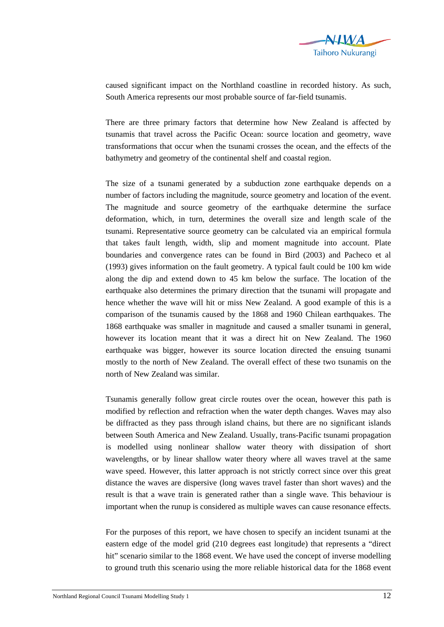

caused significant impact on the Northland coastline in recorded history. As such, South America represents our most probable source of far-field tsunamis.

There are three primary factors that determine how New Zealand is affected by tsunamis that travel across the Pacific Ocean: source location and geometry, wave transformations that occur when the tsunami crosses the ocean, and the effects of the bathymetry and geometry of the continental shelf and coastal region.

The size of a tsunami generated by a subduction zone earthquake depends on a number of factors including the magnitude, source geometry and location of the event. The magnitude and source geometry of the earthquake determine the surface deformation, which, in turn, determines the overall size and length scale of the tsunami. Representative source geometry can be calculated via an empirical formula that takes fault length, width, slip and moment magnitude into account. Plate boundaries and convergence rates can be found in Bird (2003) and Pacheco et al (1993) gives information on the fault geometry. A typical fault could be 100 km wide along the dip and extend down to 45 km below the surface. The location of the earthquake also determines the primary direction that the tsunami will propagate and hence whether the wave will hit or miss New Zealand. A good example of this is a comparison of the tsunamis caused by the 1868 and 1960 Chilean earthquakes. The 1868 earthquake was smaller in magnitude and caused a smaller tsunami in general, however its location meant that it was a direct hit on New Zealand. The 1960 earthquake was bigger, however its source location directed the ensuing tsunami mostly to the north of New Zealand. The overall effect of these two tsunamis on the north of New Zealand was similar.

Tsunamis generally follow great circle routes over the ocean, however this path is modified by reflection and refraction when the water depth changes. Waves may also be diffracted as they pass through island chains, but there are no significant islands between South America and New Zealand. Usually, trans-Pacific tsunami propagation is modelled using nonlinear shallow water theory with dissipation of short wavelengths, or by linear shallow water theory where all waves travel at the same wave speed. However, this latter approach is not strictly correct since over this great distance the waves are dispersive (long waves travel faster than short waves) and the result is that a wave train is generated rather than a single wave. This behaviour is important when the runup is considered as multiple waves can cause resonance effects.

For the purposes of this report, we have chosen to specify an incident tsunami at the eastern edge of the model grid (210 degrees east longitude) that represents a "direct hit" scenario similar to the 1868 event. We have used the concept of inverse modelling to ground truth this scenario using the more reliable historical data for the 1868 event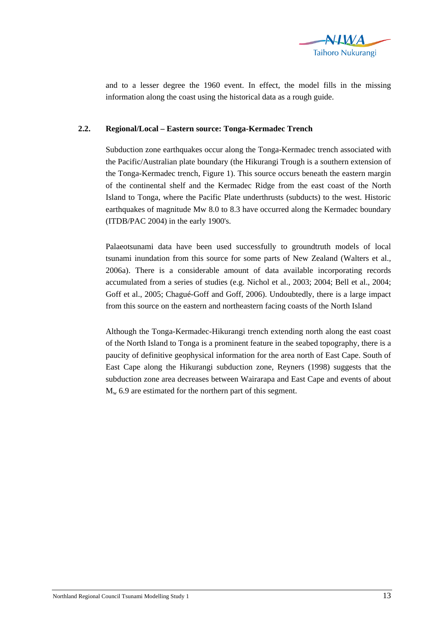

and to a lesser degree the 1960 event. In effect, the model fills in the missing information along the coast using the historical data as a rough guide.

## **2.2. Regional/Local – Eastern source: Tonga-Kermadec Trench**

Subduction zone earthquakes occur along the Tonga-Kermadec trench associated with the Pacific/Australian plate boundary (the Hikurangi Trough is a southern extension of the Tonga-Kermadec trench, Figure 1). This source occurs beneath the eastern margin of the continental shelf and the Kermadec Ridge from the east coast of the North Island to Tonga, where the Pacific Plate underthrusts (subducts) to the west. Historic earthquakes of magnitude Mw 8.0 to 8.3 have occurred along the Kermadec boundary (ITDB/PAC 2004) in the early 1900's.

Palaeotsunami data have been used successfully to groundtruth models of local tsunami inundation from this source for some parts of New Zealand (Walters et al., 2006a). There is a considerable amount of data available incorporating records accumulated from a series of studies (e.g. Nichol et al., 2003; 2004; Bell et al., 2004; Goff et al., 2005; Chagué-Goff and Goff, 2006). Undoubtedly, there is a large impact from this source on the eastern and northeastern facing coasts of the North Island

Although the Tonga-Kermadec-Hikurangi trench extending north along the east coast of the North Island to Tonga is a prominent feature in the seabed topography, there is a paucity of definitive geophysical information for the area north of East Cape. South of East Cape along the Hikurangi subduction zone, Reyners (1998) suggests that the subduction zone area decreases between Wairarapa and East Cape and events of about  $M_{w}$  6.9 are estimated for the northern part of this segment.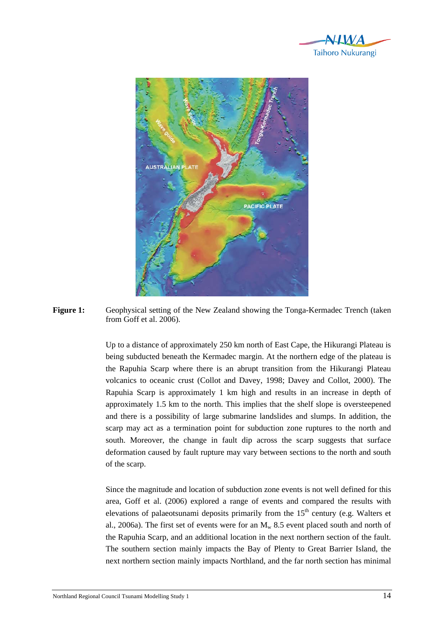



**Figure 1:** Geophysical setting of the New Zealand showing the Tonga-Kermadec Trench (taken from Goff et al. 2006).

> Up to a distance of approximately 250 km north of East Cape, the Hikurangi Plateau is being subducted beneath the Kermadec margin. At the northern edge of the plateau is the Rapuhia Scarp where there is an abrupt transition from the Hikurangi Plateau volcanics to oceanic crust (Collot and Davey, 1998; Davey and Collot, 2000). The Rapuhia Scarp is approximately 1 km high and results in an increase in depth of approximately 1.5 km to the north. This implies that the shelf slope is oversteepened and there is a possibility of large submarine landslides and slumps. In addition, the scarp may act as a termination point for subduction zone ruptures to the north and south. Moreover, the change in fault dip across the scarp suggests that surface deformation caused by fault rupture may vary between sections to the north and south of the scarp.

> Since the magnitude and location of subduction zone events is not well defined for this area, Goff et al. (2006) explored a range of events and compared the results with elevations of palaeotsunami deposits primarily from the  $15<sup>th</sup>$  century (e.g. Walters et al., 2006a). The first set of events were for an  $M_w$  8.5 event placed south and north of the Rapuhia Scarp, and an additional location in the next northern section of the fault. The southern section mainly impacts the Bay of Plenty to Great Barrier Island, the next northern section mainly impacts Northland, and the far north section has minimal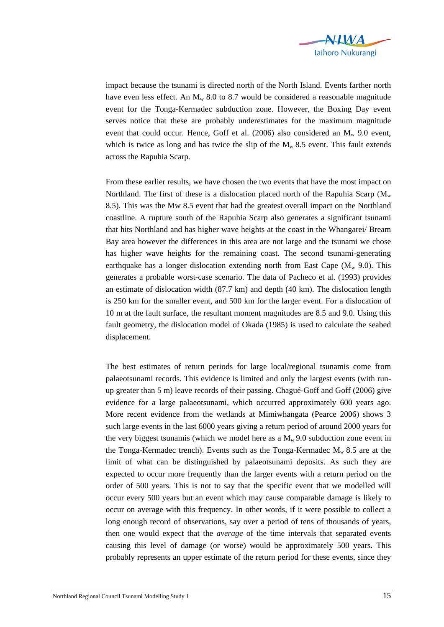

impact because the tsunami is directed north of the North Island. Events farther north have even less effect. An  $M_w$  8.0 to 8.7 would be considered a reasonable magnitude event for the Tonga-Kermadec subduction zone. However, the Boxing Day event serves notice that these are probably underestimates for the maximum magnitude event that could occur. Hence, Goff et al. (2006) also considered an  $M_w$  9.0 event, which is twice as long and has twice the slip of the  $M_w$  8.5 event. This fault extends across the Rapuhia Scarp.

From these earlier results, we have chosen the two events that have the most impact on Northland. The first of these is a dislocation placed north of the Rapuhia Scarp ( $M_w$ ) 8.5). This was the Mw 8.5 event that had the greatest overall impact on the Northland coastline. A rupture south of the Rapuhia Scarp also generates a significant tsunami that hits Northland and has higher wave heights at the coast in the Whangarei/ Bream Bay area however the differences in this area are not large and the tsunami we chose has higher wave heights for the remaining coast. The second tsunami-generating earthquake has a longer dislocation extending north from East Cape ( $M_w$  9.0). This generates a probable worst-case scenario. The data of Pacheco et al. (1993) provides an estimate of dislocation width (87.7 km) and depth (40 km). The dislocation length is 250 km for the smaller event, and 500 km for the larger event. For a dislocation of 10 m at the fault surface, the resultant moment magnitudes are 8.5 and 9.0. Using this fault geometry, the dislocation model of Okada (1985) is used to calculate the seabed displacement.

The best estimates of return periods for large local/regional tsunamis come from palaeotsunami records. This evidence is limited and only the largest events (with runup greater than 5 m) leave records of their passing. Chagué-Goff and Goff (2006) give evidence for a large palaeotsunami, which occurred approximately 600 years ago. More recent evidence from the wetlands at Mimiwhangata (Pearce 2006) shows 3 such large events in the last 6000 years giving a return period of around 2000 years for the very biggest tsunamis (which we model here as a  $M_w$  9.0 subduction zone event in the Tonga-Kermadec trench). Events such as the Tonga-Kermadec  $M_w 8.5$  are at the limit of what can be distinguished by palaeotsunami deposits. As such they are expected to occur more frequently than the larger events with a return period on the order of 500 years. This is not to say that the specific event that we modelled will occur every 500 years but an event which may cause comparable damage is likely to occur on average with this frequency. In other words, if it were possible to collect a long enough record of observations, say over a period of tens of thousands of years, then one would expect that the *average* of the time intervals that separated events causing this level of damage (or worse) would be approximately 500 years. This probably represents an upper estimate of the return period for these events, since they